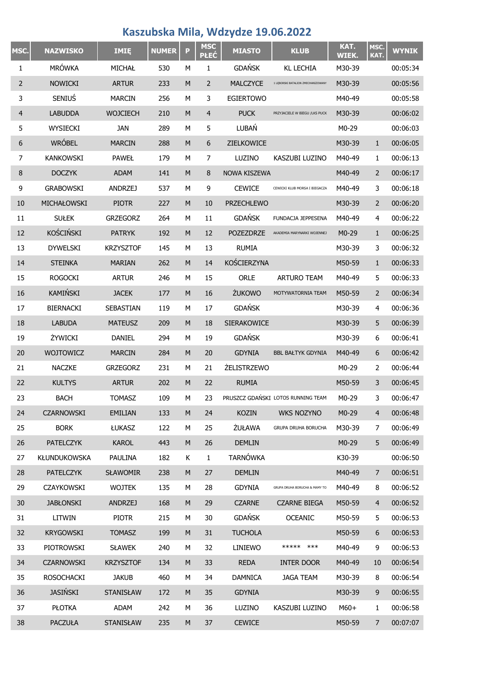## **Kaszubska Mila, Wdzydze 19.06.2022**

| MSC.           | <b>NAZWISKO</b>     | <b>IMIE</b>      | <b>NUMER</b> | P         | <b>MSC</b><br><b>PŁEĆ</b> | <b>MIASTO</b>      | <b>KLUB</b>                        | KAT.<br>WIEK. | MSC.<br>KAT.   | <b>WYNIK</b> |
|----------------|---------------------|------------------|--------------|-----------|---------------------------|--------------------|------------------------------------|---------------|----------------|--------------|
| 1              | <b>MRÓWKA</b>       | MICHAŁ           | 530          | M         | 1                         | <b>GDAŃSK</b>      | <b>KL LECHIA</b>                   | M30-39        |                | 00:05:34     |
| 2              | <b>NOWICKI</b>      | <b>ARTUR</b>     | 233          | ${\sf M}$ | $\overline{2}$            | <b>MALCZYCE</b>    | 1 LEBORSKI BATALION ZMECHANIZOWANY | M30-39        |                | 00:05:56     |
| 3              | <b>SENIUS</b>       | <b>MARCIN</b>    | 256          | M         | 3                         | <b>EGIERTOWO</b>   |                                    | M40-49        |                | 00:05:58     |
| 4              | <b>LABUDDA</b>      | <b>WOJCIECH</b>  | 210          | M         | $\overline{4}$            | <b>PUCK</b>        | PRZYJACIELE W BIEGU /LKS PUCK      | M30-39        |                | 00:06:02     |
| 5              | WYSIECKI            | <b>JAN</b>       | 289          | М         | 5                         | LUBAŃ              |                                    | M0-29         |                | 00:06:03     |
| 6              | <b>WRÓBEL</b>       | <b>MARCIN</b>    | 288          | M         | 6                         | ZIELKOWICE         |                                    | M30-39        | $\mathbf{1}$   | 00:06:05     |
| $\overline{7}$ | <b>KANKOWSKI</b>    | <b>PAWEŁ</b>     | 179          | M         | 7                         | LUZINO             | KASZUBI LUZINO                     | M40-49        | 1              | 00:06:13     |
| 8              | <b>DOCZYK</b>       | <b>ADAM</b>      | 141          | M         | 8                         | NOWA KISZEWA       |                                    | M40-49        | 2              | 00:06:17     |
| 9              | <b>GRABOWSKI</b>    | <b>ANDRZEJ</b>   | 537          | M         | 9                         | <b>CEWICE</b>      | CEWICKI KLUB MORSA I BIEGACZA      | M40-49        | 3              | 00:06:18     |
| 10             | MICHAŁOWSKI         | <b>PIOTR</b>     | 227          | M         | 10                        | <b>PRZECHLEWO</b>  |                                    | M30-39        | 2              | 00:06:20     |
| 11             | <b>SUŁEK</b>        | <b>GRZEGORZ</b>  | 264          | М         | 11                        | <b>GDAŃSK</b>      | <b>FUNDACJA JEPPESENA</b>          | M40-49        | 4              | 00:06:22     |
| 12             | <b>KOŚCIŃSKI</b>    | <b>PATRYK</b>    | 192          | M         | 12                        | <b>POZEZDRZE</b>   | AKADEMIA MARYNARKI WOJENNEJ        | $M0-29$       | $\mathbf{1}$   | 00:06:25     |
| 13             | <b>DYWELSKI</b>     | <b>KRZYSZTOF</b> | 145          | М         | 13                        | <b>RUMIA</b>       |                                    | M30-39        | 3              | 00:06:32     |
| 14             | <b>STEINKA</b>      | <b>MARIAN</b>    | 262          | M         | 14                        | KOŚCIERZYNA        |                                    | M50-59        | $\mathbf{1}$   | 00:06:33     |
| 15             | <b>ROGOCKI</b>      | <b>ARTUR</b>     | 246          | М         | 15                        | <b>ORLE</b>        | <b>ARTURO TEAM</b>                 | M40-49        | 5              | 00:06:33     |
| 16             | KAMIŃSKI            | <b>JACEK</b>     | 177          | M         | 16                        | ŻUKOWO             | MOTYWATORNIA TEAM                  | M50-59        | 2              | 00:06:34     |
| 17             | <b>BIERNACKI</b>    | SEBASTIAN        | 119          | М         | 17                        | <b>GDAŃSK</b>      |                                    | M30-39        | 4              | 00:06:36     |
| 18             | <b>LABUDA</b>       | <b>MATEUSZ</b>   | 209          | M         | 18                        | SIERAKOWICE        |                                    | M30-39        | 5              | 00:06:39     |
| 19             | ŻYWICKI             | <b>DANIEL</b>    | 294          | М         | 19                        | <b>GDAŃSK</b>      |                                    | M30-39        | 6              | 00:06:41     |
| 20             | <b>WOJTOWICZ</b>    | <b>MARCIN</b>    | 284          | M         | 20                        | <b>GDYNIA</b>      | <b>BBL BAŁTYK GDYNIA</b>           | M40-49        | 6              | 00:06:42     |
| 21             | <b>NACZKE</b>       | <b>GRZEGORZ</b>  | 231          | M         | 21                        | <b>ŻELISTRZEWO</b> |                                    | $M0-29$       | 2              | 00:06:44     |
| 22             | <b>KULTYS</b>       | <b>ARTUR</b>     | 202          | M         | 22                        | <b>RUMIA</b>       |                                    | M50-59        | 3              | 00:06:45     |
| 23             | <b>BACH</b>         | <b>TOMASZ</b>    | 109          | М         | 23                        |                    | PRUSZCZ GDAŃSKI LOTOS RUNNING TEAM | M0-29         | 3              | 00:06:47     |
| 24             | <b>CZARNOWSKI</b>   | <b>EMILIAN</b>   | 133          | M         | 24                        | <b>KOZIN</b>       | WKS NOZYNO                         | M0-29         | $\overline{4}$ | 00:06:48     |
| 25             | <b>BORK</b>         | <b>ŁUKASZ</b>    | 122          | М         | 25                        | <b>ŻUŁAWA</b>      | <b>GRUPA DRUHA BORUCHA</b>         | M30-39        | 7              | 00:06:49     |
| 26             | <b>PATELCZYK</b>    | <b>KAROL</b>     | 443          | M         | 26                        | <b>DEMLIN</b>      |                                    | M0-29         | 5              | 00:06:49     |
| 27             | <b>KŁUNDUKOWSKA</b> | PAULINA          | 182          | Κ         | $\mathbf{1}$              | <b>TARNÓWKA</b>    |                                    | K30-39        |                | 00:06:50     |
| 28             | <b>PATELCZYK</b>    | <b>SŁAWOMIR</b>  | 238          | ${\sf M}$ | 27                        | <b>DEMLIN</b>      |                                    | M40-49        | $\overline{7}$ | 00:06:51     |
| 29             | CZAYKOWSKI          | <b>WOJTEK</b>    | 135          | М         | 28                        | <b>GDYNIA</b>      | GRUPA DRUHA BORUCHA & MAMY TO      | M40-49        | 8              | 00:06:52     |
| 30             | <b>JABŁONSKI</b>    | <b>ANDRZEJ</b>   | 168          | ${\sf M}$ | 29                        | <b>CZARNE</b>      | <b>CZARNE BIEGA</b>                | M50-59        | $\overline{4}$ | 00:06:52     |
| 31             | LITWIN              | <b>PIOTR</b>     | 215          | М         | 30                        | <b>GDAŃSK</b>      | <b>OCEANIC</b>                     | M50-59        | 5              | 00:06:53     |
| 32             | <b>KRYGOWSKI</b>    | <b>TOMASZ</b>    | 199          | ${\sf M}$ | 31                        | <b>TUCHOLA</b>     |                                    | M50-59        | 6              | 00:06:53     |
| 33             | PIOTROWSKI          | <b>SŁAWEK</b>    | 240          | М         | 32                        | LINIEWO            | ***** ***                          | M40-49        | 9              | 00:06:53     |
| 34             | <b>CZARNOWSKI</b>   | <b>KRZYSZTOF</b> | 134          | M         | 33                        | <b>REDA</b>        | <b>INTER DOOR</b>                  | M40-49        | 10             | 00:06:54     |
| 35             | <b>ROSOCHACKI</b>   | <b>JAKUB</b>     | 460          | М         | 34                        | <b>DAMNICA</b>     | <b>JAGA TEAM</b>                   | M30-39        | 8              | 00:06:54     |
| 36             | <b>JASIŃSKI</b>     | <b>STANISŁAW</b> | 172          | M         | 35                        | <b>GDYNIA</b>      |                                    | M30-39        | 9              | 00:06:55     |
| 37             | PŁOTKA              | ADAM             | 242          | М         | 36                        | LUZINO             | KASZUBI LUZINO                     | $M60+$        | 1              | 00:06:58     |
| 38             | <b>PACZUŁA</b>      | <b>STANISŁAW</b> | 235          | ${\sf M}$ | 37                        | <b>CEWICE</b>      |                                    | M50-59        | $\overline{7}$ | 00:07:07     |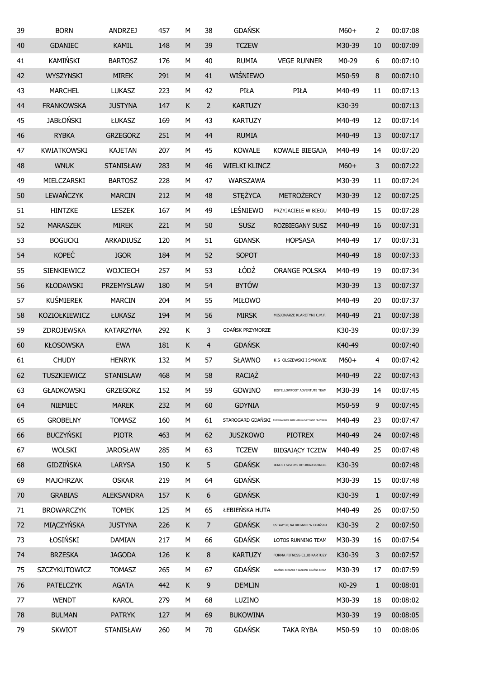| 39 | <b>BORN</b>        | <b>ANDRZEJ</b>    | 457 | М         | 38             | <b>GDAŃSK</b>           |                                                                | $M60+$ | 2              | 00:07:08 |
|----|--------------------|-------------------|-----|-----------|----------------|-------------------------|----------------------------------------------------------------|--------|----------------|----------|
| 40 | <b>GDANIEC</b>     | <b>KAMIL</b>      | 148 | ${\sf M}$ | 39             | <b>TCZEW</b>            |                                                                | M30-39 | 10             | 00:07:09 |
| 41 | KAMIŃSKI           | <b>BARTOSZ</b>    | 176 | М         | 40             | <b>RUMIA</b>            | <b>VEGE RUNNER</b>                                             | M0-29  | 6              | 00:07:10 |
| 42 | WYSZYNSKI          | <b>MIREK</b>      | 291 | ${\sf M}$ | 41             | WIŚNIEWO                |                                                                | M50-59 | 8              | 00:07:10 |
| 43 | <b>MARCHEL</b>     | <b>LUKASZ</b>     | 223 | М         | 42             | PIŁA                    | PIŁA                                                           | M40-49 | 11             | 00:07:13 |
| 44 | <b>FRANKOWSKA</b>  | <b>JUSTYNA</b>    | 147 | К         | $\overline{2}$ | <b>KARTUZY</b>          |                                                                | K30-39 |                | 00:07:13 |
| 45 | <b>JABŁOŃSKI</b>   | ŁUKASZ            | 169 | M         | 43             | <b>KARTUZY</b>          |                                                                | M40-49 | 12             | 00:07:14 |
| 46 | <b>RYBKA</b>       | <b>GRZEGORZ</b>   | 251 | M         | 44             | <b>RUMIA</b>            |                                                                | M40-49 | 13             | 00:07:17 |
| 47 | <b>KWIATKOWSKI</b> | <b>KAJETAN</b>    | 207 | М         | 45             | <b>KOWALE</b>           | KOWALE BIEGAJĄ                                                 | M40-49 | 14             | 00:07:20 |
| 48 | <b>WNUK</b>        | <b>STANISŁAW</b>  | 283 | ${\sf M}$ | 46             | <b>WIELKI KLINCZ</b>    |                                                                | $M60+$ | 3              | 00:07:22 |
| 49 | MIELCZARSKI        | <b>BARTOSZ</b>    | 228 | M         | 47             | WARSZAWA                |                                                                | M30-39 | 11             | 00:07:24 |
| 50 | LEWAŃCZYK          | <b>MARCIN</b>     | 212 | ${\sf M}$ | 48             | <b>STĘŻYCA</b>          | <b>METROŻERCY</b>                                              | M30-39 | 12             | 00:07:25 |
| 51 | HINTZKE            | <b>LESZEK</b>     | 167 | M         | 49             | LEŚNIEWO                | PRZYJACIELE W BIEGU                                            | M40-49 | 15             | 00:07:28 |
| 52 | <b>MARASZEK</b>    | <b>MIREK</b>      | 221 | ${\sf M}$ | 50             | <b>SUSZ</b>             | ROZBIEGANY SUSZ                                                | M40-49 | 16             | 00:07:31 |
| 53 | <b>BOGUCKI</b>     | ARKADIUSZ         | 120 | M         | 51             | <b>GDANSK</b>           | <b>HOPSASA</b>                                                 | M40-49 | 17             | 00:07:31 |
| 54 | <b>KOPEĆ</b>       | <b>IGOR</b>       | 184 | M         | 52             | SOPOT                   |                                                                | M40-49 | 18             | 00:07:33 |
| 55 | SIENKIEWICZ        | <b>WOJCIECH</b>   | 257 | М         | 53             | ŁÓDŹ                    | <b>ORANGE POLSKA</b>                                           | M40-49 | 19             | 00:07:34 |
| 56 | <b>KŁODAWSKI</b>   | PRZEMYSLAW        | 180 | ${\sf M}$ | 54             | <b>BYTÓW</b>            |                                                                | M30-39 | 13             | 00:07:37 |
| 57 | <b>KUŚMIEREK</b>   | <b>MARCIN</b>     | 204 | М         | 55             | MIŁOWO                  |                                                                | M40-49 | 20             | 00:07:37 |
| 58 | KOZIOŁKIEWICZ      | ŁUKASZ            | 194 | ${\sf M}$ | 56             | <b>MIRSK</b>            | MISJONARZE KLARETYNI C.M.F.                                    | M40-49 | 21             | 00:07:38 |
| 59 | ZDROJEWSKA         | <b>KATARZYNA</b>  | 292 | Κ         | 3              | <b>GDAŃSK PRZYMORZE</b> |                                                                | K30-39 |                | 00:07:39 |
| 60 | <b>KŁOSOWSKA</b>   | <b>EWA</b>        | 181 | К         | $\overline{4}$ | <b>GDAŃSK</b>           |                                                                | K40-49 |                | 00:07:40 |
| 61 | <b>CHUDY</b>       | <b>HENRYK</b>     | 132 | М         | 57             | <b>SŁAWNO</b>           | K S OLSZEWSKI I SYNOWIE                                        | $M60+$ | 4              | 00:07:42 |
| 62 | <b>TUSZKIEWICZ</b> | <b>STANISLAW</b>  | 468 | ${\sf M}$ | 58             | RACIĄŻ                  |                                                                | M40-49 | 22             | 00:07:43 |
| 63 | <b>GŁADKOWSKI</b>  | <b>GRZEGORZ</b>   | 152 | М         | 59             | GOWINO                  | BIGYELLOWFOOT ADVENTUTE TEAM                                   | M30-39 | 14             | 00:07:45 |
| 64 | <b>NIEMIEC</b>     | <b>MAREK</b>      | 232 | ${\sf M}$ | 60             | <b>GDYNIA</b>           |                                                                | M50-59 | 9              | 00:07:45 |
| 65 | <b>GROBELNY</b>    | <b>TOMASZ</b>     | 160 | M         | 61             |                         | STAROGARD GDAŃSKI STAROGARDZKI KLUB LEKKOATLETYCZNY FILIPPIDES | M40-49 | 23             | 00:07:47 |
| 66 | <b>BUCZYŃSKI</b>   | <b>PIOTR</b>      | 463 | ${\sf M}$ | 62             | <b>JUSZKOWO</b>         | <b>PIOTREX</b>                                                 | M40-49 | 24             | 00:07:48 |
| 67 | <b>WOLSKI</b>      | <b>JAROSŁAW</b>   | 285 | М         | 63             | <b>TCZEW</b>            | <b>BIEGAJĄCY TCZEW</b>                                         | M40-49 | 25             | 00:07:48 |
| 68 | <b>GIDZIŃSKA</b>   | <b>LARYSA</b>     | 150 | К         | 5              | <b>GDAŃSK</b>           | BENEFIT SYSTEMS OFF-ROAD RUNNERS                               | K30-39 |                | 00:07:48 |
| 69 | <b>MAJCHRZAK</b>   | <b>OSKAR</b>      | 219 | М         | 64             | <b>GDAŃSK</b>           |                                                                | M30-39 | 15             | 00:07:48 |
| 70 | <b>GRABIAS</b>     | <b>ALEKSANDRA</b> | 157 | K         | 6              | <b>GDAŃSK</b>           |                                                                | K30-39 | $1\,$          | 00:07:49 |
| 71 | <b>BROWARCZYK</b>  | <b>TOMEK</b>      | 125 | M         | 65             | ŁEBIEŃSKA HUTA          |                                                                | M40-49 | 26             | 00:07:50 |
| 72 | MIĄCZYŃSKA         | <b>JUSTYNA</b>    | 226 | К         | $\overline{7}$ | <b>GDAŃSK</b>           | USTAW SIĘ NA BIEGANIE W GDAŃSKU                                | K30-39 | $\overline{2}$ | 00:07:50 |
| 73 | ŁOSIŃSKI           | <b>DAMIAN</b>     | 217 | M         | 66             | <b>GDAŃSK</b>           | LOTOS RUNNING TEAM                                             | M30-39 | 16             | 00:07:54 |
| 74 | <b>BRZESKA</b>     | <b>JAGODA</b>     | 126 | К         | 8              | <b>KARTUZY</b>          | FORMA FITNESS CLUB KARTUZY                                     | K30-39 | 3              | 00:07:57 |
| 75 | SZCZYKUTOWICZ      | <b>TOMASZ</b>     | 265 | М         | 67             | <b>GDAŃSK</b>           | GDAŃSKI BIEGACZ / SZALONY GDAŃSK BIEGA                         | M30-39 | 17             | 00:07:59 |
| 76 | <b>PATELCZYK</b>   | <b>AGATA</b>      | 442 | К         | 9              | <b>DEMLIN</b>           |                                                                | K0-29  | $\mathbf{1}$   | 00:08:01 |
| 77 | <b>WENDT</b>       | <b>KAROL</b>      | 279 | М         | 68             | LUZINO                  |                                                                | M30-39 | 18             | 00:08:02 |
| 78 | <b>BULMAN</b>      | <b>PATRYK</b>     | 127 | ${\sf M}$ | 69             | <b>BUKOWINA</b>         |                                                                | M30-39 | 19             | 00:08:05 |
| 79 | <b>SKWIOT</b>      | STANISŁAW         | 260 | М         | 70             | <b>GDAŃSK</b>           | <b>TAKA RYBA</b>                                               | M50-59 | 10             | 00:08:06 |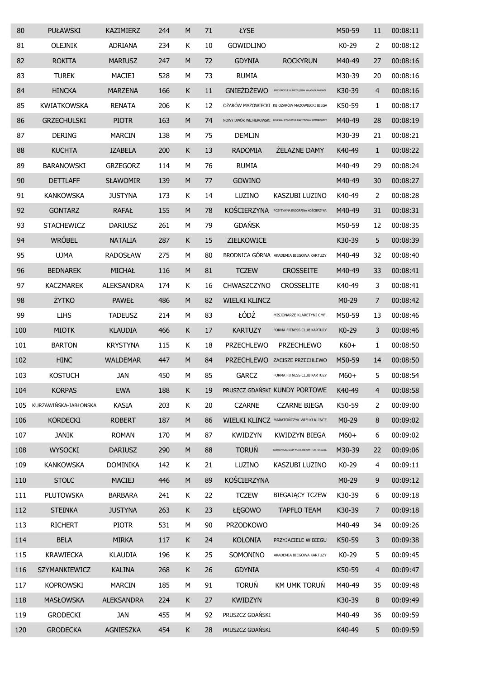| 80  | <b>PUŁAWSKI</b>       | <b>KAZIMIERZ</b>  | 244 | M         | 71 | <b>ŁYSE</b>          |                                                              | M50-59  | 11             | 00:08:11 |
|-----|-----------------------|-------------------|-----|-----------|----|----------------------|--------------------------------------------------------------|---------|----------------|----------|
| 81  | <b>OLEJNIK</b>        | <b>ADRIANA</b>    | 234 | Κ         | 10 | <b>GOWIDLINO</b>     |                                                              | K0-29   | 2              | 00:08:12 |
| 82  | <b>ROKITA</b>         | <b>MARIUSZ</b>    | 247 | M         | 72 | <b>GDYNIA</b>        | <b>ROCKYRUN</b>                                              | M40-49  | 27             | 00:08:16 |
| 83  | <b>TUREK</b>          | <b>MACIEJ</b>     | 528 | М         | 73 | <b>RUMIA</b>         |                                                              | M30-39  | 20             | 00:08:16 |
| 84  | <b>HINCKA</b>         | <b>MARZENA</b>    | 166 | К         | 11 | <b>GNIEŻDŻEWO</b>    | PRZYJACIELE W BIEGU/BRW WŁADYSŁAWOWO                         | K30-39  | $\overline{4}$ | 00:08:16 |
| 85  | <b>KWIATKOWSKA</b>    | <b>RENATA</b>     | 206 | К         | 12 |                      | OŻARÓW MAZOWIECKI KB OŻARÓW MAZOWIECKI BIEGA                 | K50-59  | 1              | 00:08:17 |
| 86  | <b>GRZECHULSKI</b>    | <b>PIOTR</b>      | 163 | M         | 74 |                      | NOWY DWÓR WEJHEROWSKI MORSKA JEDNOSTKA RAKIETOWA SIEMIROWICE | M40-49  | 28             | 00:08:19 |
| 87  | <b>DERING</b>         | <b>MARCIN</b>     | 138 | М         | 75 | <b>DEMLIN</b>        |                                                              | M30-39  | 21             | 00:08:21 |
| 88  | <b>KUCHTA</b>         | <b>IZABELA</b>    | 200 | K         | 13 | <b>RADOMIA</b>       | <b>ŻELAZNE DAMY</b>                                          | K40-49  | $\mathbf{1}$   | 00:08:22 |
| 89  | <b>BARANOWSKI</b>     | <b>GRZEGORZ</b>   | 114 | М         | 76 | <b>RUMIA</b>         |                                                              | M40-49  | 29             | 00:08:24 |
| 90  | <b>DETTLAFF</b>       | <b>SŁAWOMIR</b>   | 139 | M         | 77 | <b>GOWINO</b>        |                                                              | M40-49  | 30             | 00:08:27 |
| 91  | <b>KANKOWSKA</b>      | <b>JUSTYNA</b>    | 173 | К         | 14 | <b>LUZINO</b>        | <b>KASZUBI LUZINO</b>                                        | K40-49  | 2              | 00:08:28 |
| 92  | <b>GONTARZ</b>        | <b>RAFAŁ</b>      | 155 | M         | 78 | <b>KOŚCIERZYNA</b>   | POZYTYWNA ENDORFINA KOŚCIERZYNA                              | M40-49  | 31             | 00:08:31 |
| 93  | <b>STACHEWICZ</b>     | <b>DARIUSZ</b>    | 261 | M         | 79 | <b>GDAŃSK</b>        |                                                              | M50-59  | 12             | 00:08:35 |
| 94  | <b>WRÓBEL</b>         | <b>NATALIA</b>    | 287 | K         | 15 | ZIELKOWICE           |                                                              | K30-39  | 5              | 00:08:39 |
| 95  | <b>UJMA</b>           | <b>RADOSŁAW</b>   | 275 | M         | 80 |                      | BRODNICA GÓRNA AKADEMIA BIEGOWA KARTUZY                      | M40-49  | 32             | 00:08:40 |
| 96  | <b>BEDNAREK</b>       | <b>MICHAŁ</b>     | 116 | M         | 81 | <b>TCZEW</b>         | <b>CROSSEITE</b>                                             | M40-49  | 33             | 00:08:41 |
| 97  | <b>KACZMAREK</b>      | <b>ALEKSANDRA</b> | 174 | К         | 16 | CHWASZCZYNO          | <b>CROSSELITE</b>                                            | K40-49  | 3              | 00:08:41 |
| 98  | <b>ŻYTKO</b>          | <b>PAWEŁ</b>      | 486 | M         | 82 | <b>WIELKI KLINCZ</b> |                                                              | $M0-29$ | 7              | 00:08:42 |
| 99  | <b>LIHS</b>           | <b>TADEUSZ</b>    | 214 | М         | 83 | ŁÓDŹ                 | MISJONARZE KLARETYNI CMF.                                    | M50-59  | 13             | 00:08:46 |
| 100 | <b>MIOTK</b>          | <b>KLAUDIA</b>    | 466 | K         | 17 | <b>KARTUZY</b>       | FORMA FITNESS CLUB KARTUZY                                   | K0-29   | 3              | 00:08:46 |
| 101 | <b>BARTON</b>         | <b>KRYSTYNA</b>   | 115 | Κ         | 18 | <b>PRZECHLEWO</b>    | <b>PRZECHLEWO</b>                                            | K60+    | 1              | 00:08:50 |
| 102 | <b>HINC</b>           | <b>WALDEMAR</b>   | 447 | M         | 84 | <b>PRZECHLEWO</b>    | ZACISZE PRZECHLEWO                                           | M50-59  | 14             | 00:08:50 |
| 103 | <b>KOSTUCH</b>        | <b>JAN</b>        | 450 | М         | 85 | <b>GARCZ</b>         | FORMA FITNESS CLUB KARTUZY                                   | M60+    | 5              | 00:08:54 |
| 104 | <b>KORPAS</b>         | <b>EWA</b>        | 188 | К         | 19 |                      | PRUSZCZ GDAŃSKI KUNDY PORTOWE                                | K40-49  | 4              | 00:08:58 |
| 105 | KURZAWIŃSKA-JABŁONSKA | <b>KASIA</b>      | 203 | К         | 20 | <b>CZARNE</b>        | <b>CZARNE BIEGA</b>                                          | K50-59  | 2              | 00:09:00 |
| 106 | <b>KORDECKI</b>       | <b>ROBERT</b>     | 187 | ${\sf M}$ | 86 |                      | WIELKI KLINCZ MARATOŃCZYK WIELKI KLINCZ                      | M0-29   | 8              | 00:09:02 |
| 107 | <b>JANIK</b>          | <b>ROMAN</b>      | 170 | М         | 87 | <b>KWIDZYN</b>       | KWIDZYN BIEGA                                                | $M60+$  | 6              | 00:09:02 |
| 108 | <b>WYSOCKI</b>        | <b>DARIUSZ</b>    | 290 | ${\sf M}$ | 88 | <b>TORUŃ</b>         | CENTRUM SZKOLENIA WOJSK OBRONY TERYTORIALNEJ                 | M30-39  | 22             | 00:09:06 |
| 109 | <b>KANKOWSKA</b>      | <b>DOMINIKA</b>   | 142 | К         | 21 | LUZINO               | KASZUBI LUZINO                                               | K0-29   | 4              | 00:09:11 |
| 110 | <b>STOLC</b>          | <b>MACIEJ</b>     | 446 | ${\sf M}$ | 89 | KOŚCIERZYNA          |                                                              | M0-29   | 9              | 00:09:12 |
| 111 | <b>PLUTOWSKA</b>      | <b>BARBARA</b>    | 241 | К         | 22 | <b>TCZEW</b>         | <b>BIEGAJĄCY TCZEW</b>                                       | K30-39  | 6              | 00:09:18 |
| 112 | <b>STEINKA</b>        | <b>JUSTYNA</b>    | 263 | К         | 23 | ŁĘGOWO               | <b>TAPFLO TEAM</b>                                           | K30-39  | $\overline{7}$ | 00:09:18 |
| 113 | <b>RICHERT</b>        | <b>PIOTR</b>      | 531 | М         | 90 | <b>PRZODKOWO</b>     |                                                              | M40-49  | 34             | 00:09:26 |
| 114 | <b>BELA</b>           | <b>MIRKA</b>      | 117 | К         | 24 | <b>KOLONIA</b>       | PRZYJACIELE W BIEGU                                          | K50-59  | 3              | 00:09:38 |
| 115 | <b>KRAWIECKA</b>      | <b>KLAUDIA</b>    | 196 | К         | 25 | SOMONINO             | AKADEMIA BIEGOWA KARTUZY                                     | K0-29   | 5              | 00:09:45 |
| 116 | SZYMANKIEWICZ         | <b>KALINA</b>     | 268 | К         | 26 | <b>GDYNIA</b>        |                                                              | K50-59  | $\overline{4}$ | 00:09:47 |
| 117 | <b>KOPROWSKI</b>      | <b>MARCIN</b>     | 185 | М         | 91 | <b>TORUŃ</b>         | KM UMK TORUŃ                                                 | M40-49  | 35             | 00:09:48 |
| 118 | <b>MASŁOWSKA</b>      | <b>ALEKSANDRA</b> | 224 | К         | 27 | <b>KWIDZYN</b>       |                                                              | K30-39  | 8              | 00:09:49 |
| 119 | <b>GRODECKI</b>       | <b>JAN</b>        | 455 | М         | 92 | PRUSZCZ GDAŃSKI      |                                                              | M40-49  | 36             | 00:09:59 |
| 120 | <b>GRODECKA</b>       | AGNIESZKA         | 454 | К         | 28 | PRUSZCZ GDAŃSKI      |                                                              | K40-49  | 5              | 00:09:59 |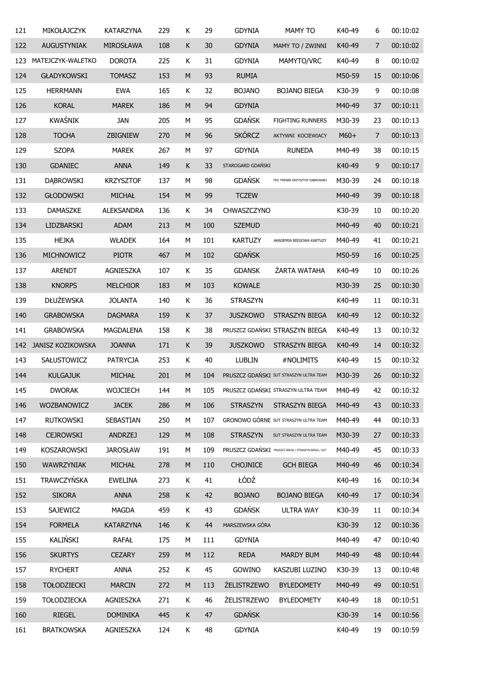| 121 | MIKOŁAJCZYK              | <b>KATARZYNA</b>  | 229 | К         | 29  | <b>GDYNIA</b>             | <b>MAMY TO</b>                                       | K40-49 | 6  | 00:10:02 |
|-----|--------------------------|-------------------|-----|-----------|-----|---------------------------|------------------------------------------------------|--------|----|----------|
| 122 | <b>AUGUSTYNIAK</b>       | MIROSŁAWA         | 108 | К         | 30  | <b>GDYNIA</b>             | MAMY TO / ZWINNI                                     | K40-49 | 7  | 00:10:02 |
| 123 | MATEJCZYK-WALETKO        | <b>DOROTA</b>     | 225 | К         | 31  | <b>GDYNIA</b>             | MAMYTO/VRC                                           | K40-49 | 8  | 00:10:02 |
| 124 | <b>GŁADYKOWSKI</b>       | <b>TOMASZ</b>     | 153 | M         | 93  | <b>RUMIA</b>              |                                                      | M50-59 | 15 | 00:10:06 |
| 125 | <b>HERRMANN</b>          | <b>EWA</b>        | 165 | Κ         | 32  | <b>BOJANO</b>             | <b>BOJANO BIEGA</b>                                  | K30-39 | 9  | 00:10:08 |
| 126 | <b>KORAL</b>             | <b>MAREK</b>      | 186 | M         | 94  | <b>GDYNIA</b>             |                                                      | M40-49 | 37 | 00:10:11 |
| 127 | <b>KWAŚNIK</b>           | <b>JAN</b>        | 205 | М         | 95  | <b>GDAŃSK</b>             | FIGHTING RUNNERS                                     | M30-39 | 23 | 00:10:13 |
| 128 | <b>TOCHA</b>             | ZBIGNIEW          | 270 | M         | 96  | <b>SKÓRCZ</b>             | AKTYWNI KOCIEWIACY                                   | $M60+$ | 7  | 00:10:13 |
| 129 | <b>SZOPA</b>             | <b>MAREK</b>      | 267 | М         | 97  | <b>GDYNIA</b>             | <b>RUNEDA</b>                                        | M40-49 | 38 | 00:10:15 |
| 130 | <b>GDANIEC</b>           | <b>ANNA</b>       | 149 | К         | 33  | STAROGARD GDAŃSKI         |                                                      | K40-49 | 9  | 00:10:17 |
| 131 | <b>DABROWSKI</b>         | <b>KRZYSZTOF</b>  | 137 | М         | 98  | <b>GDAŃSK</b>             | TKD TRENER KRZYSZTOF DĄBROWSKI                       | M30-39 | 24 | 00:10:18 |
| 132 | <b>GŁODOWSKI</b>         | MICHAŁ            | 154 | M         | 99  | <b>TCZEW</b>              |                                                      | M40-49 | 39 | 00:10:18 |
| 133 | DAMASZKE                 | <b>ALEKSANDRA</b> | 136 | К         | 34  | CHWASZCZYNO               |                                                      | K30-39 | 10 | 00:10:20 |
| 134 | LIDZBARSKI               | <b>ADAM</b>       | 213 | ${\sf M}$ | 100 | <b>SZEMUD</b>             |                                                      | M40-49 | 40 | 00:10:21 |
| 135 | <b>HEJKA</b>             | <b>WŁADEK</b>     | 164 | М         | 101 | <b>KARTUZY</b>            | AKADEMIA BIEGOWA KARTUZY                             | M40-49 | 41 | 00:10:21 |
| 136 | MICHNOWICZ               | <b>PIOTR</b>      | 467 | ${\sf M}$ | 102 | <b>GDAŃSK</b>             |                                                      | M50-59 | 16 | 00:10:25 |
| 137 | <b>ARENDT</b>            | AGNIESZKA         | 107 | К         | 35  | <b>GDANSK</b>             | ŻARTA WATAHA                                         | K40-49 | 10 | 00:10:26 |
| 138 | <b>KNORPS</b>            | <b>MELCHIOR</b>   | 183 | M         | 103 | <b>KOWALE</b>             |                                                      | M30-39 | 25 | 00:10:30 |
| 139 | <b>DŁUŻEWSKA</b>         | <b>JOLANTA</b>    | 140 | Κ         | 36  | <b>STRASZYN</b>           |                                                      | K40-49 | 11 | 00:10:31 |
| 140 | <b>GRABOWSKA</b>         | <b>DAGMARA</b>    | 159 | К         | 37  | <b>JUSZKOWO</b>           | STRASZYN BIEGA                                       | K40-49 | 12 | 00:10:32 |
| 141 | <b>GRABOWSKA</b>         | MAGDALENA         | 158 | Κ         | 38  |                           | PRUSZCZ GDAŃSKI STRASZYN BIEGA                       | K40-49 | 13 | 00:10:32 |
| 142 | <b>JANISZ KOZIKOWSKA</b> | <b>JOANNA</b>     | 171 | К         | 39  | <b>JUSZKOWO</b>           | STRASZYN BIEGA                                       | K40-49 | 14 | 00:10:32 |
| 143 | SAŁUSTOWICZ              | <b>PATRYCJA</b>   | 253 | К         | 40  | LUBLIN                    | #NOLIMITS                                            | K40-49 | 15 | 00:10:32 |
| 144 | <b>KULGAJUK</b>          | MICHAŁ            | 201 | M         | 104 |                           | PRUSZCZ GDAŃSKI SUT STRASZYN ULTRA TEAM              | M30-39 | 26 | 00:10:32 |
| 145 | <b>DWORAK</b>            | <b>WOJCIECH</b>   | 144 | М         | 105 |                           | PRUSZCZ GDAŃSKI STRASZYN ULTRA TEAM                  | M40-49 | 42 | 00:10:32 |
| 146 | WOZBANOWICZ              | <b>JACEK</b>      | 286 | M         | 106 | <b>STRASZYN</b>           | STRASZYN BIEGA                                       | M40-49 | 43 | 00:10:33 |
| 147 | <b>RUTKOWSKI</b>         | SEBASTIAN         | 250 | М         | 107 |                           | <b>GRONOWO GÓRNE SUT STRASZYN ULTRA TEAM</b>         | M40-49 | 44 | 00:10:33 |
| 148 | <b>CEJROWSKI</b>         | <b>ANDRZEJ</b>    | 129 | M         | 108 | <b>STRASZYN</b>           | SUT STRASZYN ULTRA TEAM                              | M30-39 | 27 | 00:10:33 |
| 149 | KOSZAROWSKI              | <b>JAROSŁAW</b>   | 191 | М         | 109 |                           | PRUSZCZ GDAŃSKI PRUSZCZ BIEGA / STRASZYN BIEGA / SUT | M40-49 | 45 | 00:10:33 |
| 150 | WAWRZYNIAK               | <b>MICHAŁ</b>     | 278 | M         | 110 | <b>CHOJNICE</b>           | <b>GCH BIEGA</b>                                     | M40-49 | 46 | 00:10:34 |
| 151 | <b>TRAWCZYŃSKA</b>       | <b>EWELINA</b>    | 273 | Κ         | 41  | ŁÓDŹ                      |                                                      | K40-49 | 16 | 00:10:34 |
| 152 | <b>SIKORA</b>            | <b>ANNA</b>       | 258 | K         | 42  | <b>BOJANO</b>             | <b>BOJANO BIEGA</b>                                  | K40-49 | 17 | 00:10:34 |
| 153 | SAJEWICZ                 | <b>MAGDA</b>      | 459 | K         | 43  | <b>GDAŃSK</b>             | <b>ULTRA WAY</b>                                     | K30-39 | 11 | 00:10:34 |
| 154 | <b>FORMELA</b>           | <b>KATARZYNA</b>  | 146 | K         | 44  | MARSZEWSKA GÓRA           |                                                      | K30-39 | 12 | 00:10:36 |
| 155 | KALIŃSKI                 | <b>RAFAŁ</b>      | 175 | M         | 111 | <b>GDYNIA</b>             |                                                      | M40-49 | 47 | 00:10:40 |
| 156 | <b>SKURTYS</b>           | <b>CEZARY</b>     | 259 | M         | 112 | <b>REDA</b>               | <b>MARDY BUM</b>                                     | M40-49 | 48 | 00:10:44 |
| 157 | <b>RYCHERT</b>           | <b>ANNA</b>       | 252 | Κ         | 45  | GOWINO                    | KASZUBI LUZINO                                       | K30-39 | 13 | 00:10:48 |
| 158 | <b>TOŁODZIECKI</b>       | <b>MARCIN</b>     | 272 | M         | 113 | <b><i>ŻELISTRZEWO</i></b> | <b>BYLEDOMETY</b>                                    | M40-49 | 49 | 00:10:51 |
| 159 | <b>TOŁODZIECKA</b>       | AGNIESZKA         | 271 | Κ         | 46  | <b>ŻELISTRZEWO</b>        | <b>BYLEDOMETY</b>                                    | K40-49 | 18 | 00:10:51 |
| 160 | <b>RIEGEL</b>            | <b>DOMINIKA</b>   | 445 | K         | 47  | <b>GDAŃSK</b>             |                                                      | K30-39 | 14 | 00:10:56 |
| 161 | <b>BRATKOWSKA</b>        | AGNIESZKA         | 124 | K         | 48  | <b>GDYNIA</b>             |                                                      | K40-49 | 19 | 00:10:59 |